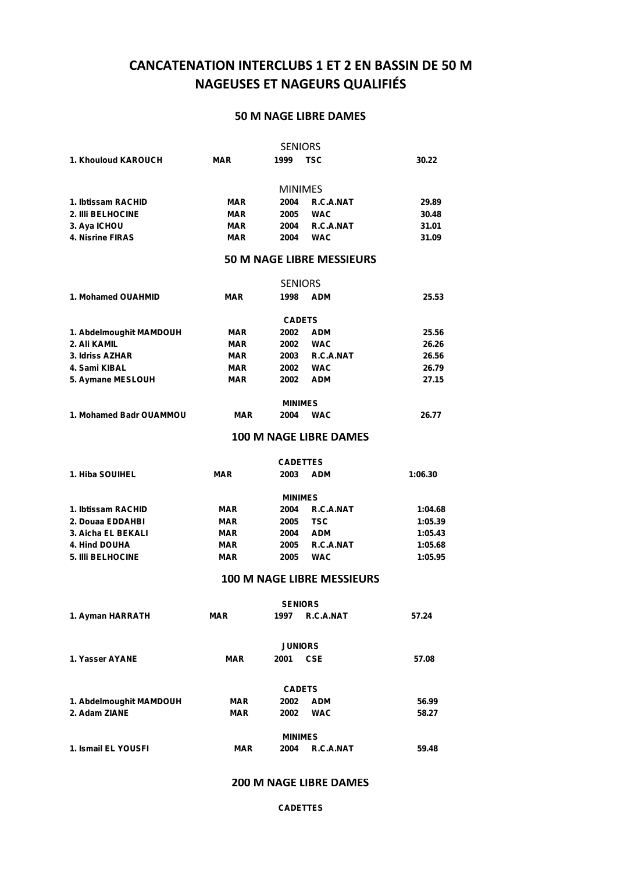# **CANCATENATION INTERCLUBS 1 ET 2 EN BASSIN DE 50 M NAGEUSES ET NAGEURS QUALIFIÉS**

#### **50 M NAGE LIBRE DAMES**

|                         |            | <b>SENIORS</b> |                                  |       |
|-------------------------|------------|----------------|----------------------------------|-------|
| 1. Khouloud KAROUCH     | <b>MAR</b> | 1999           | <b>TSC</b>                       | 30.22 |
|                         |            |                |                                  |       |
|                         |            | <b>MINIMES</b> |                                  |       |
| 1. Ibtissam RACHID      | <b>MAR</b> | 2004           | R.C.A.NAT                        | 29.89 |
| 2. IIIi BELHOCINE       | <b>MAR</b> | 2005           | <b>WAC</b>                       | 30.48 |
| 3. Aya ICHOU            | <b>MAR</b> | 2004           | R.C.A.NAT                        | 31.01 |
| <b>4. Nisrine FIRAS</b> | <b>MAR</b> | 2004           | <b>WAC</b>                       | 31.09 |
|                         |            |                | <b>50 M NAGE LIBRE MESSIEURS</b> |       |
|                         |            | <b>SENIORS</b> |                                  |       |
| 1. Mohamed OUAHMID      | <b>MAR</b> | 1998           | <b>ADM</b>                       | 25.53 |
|                         |            | <b>CADETS</b>  |                                  |       |
| 1. Abdelmoughit MAMDOUH | <b>MAR</b> | 2002           | <b>ADM</b>                       | 25.56 |
| 2. Ali KAMIL            | <b>MAR</b> | 2002           | <b>WAC</b>                       | 26.26 |
| 3. Idriss AZHAR         | <b>MAR</b> | 2003           | R.C.A.NAT                        | 26.56 |
| 4. Sami KIBAL           | <b>MAR</b> | 2002           | <b>WAC</b>                       | 26.79 |
| 5. Aymane MESLOUH       | <b>MAR</b> | 2002           | <b>ADM</b>                       | 27.15 |
|                         |            | <b>MINIMES</b> |                                  |       |
| 1. Mohamed Badr OUAMMOU | <b>MAR</b> | 2004           | <b>WAC</b>                       | 26.77 |
|                         |            |                |                                  |       |

### **100 M NAGE LIBRE DAMES**

| <b>CADETTES</b> |      |  |                                                                         |  |  |  |  |  |
|-----------------|------|--|-------------------------------------------------------------------------|--|--|--|--|--|
| MAR             | 2003 |  | 1:06.30                                                                 |  |  |  |  |  |
| <b>MINIMES</b>  |      |  |                                                                         |  |  |  |  |  |
| <b>MAR</b>      | 2004 |  | 1:04.68                                                                 |  |  |  |  |  |
| <b>MAR</b>      | 2005 |  | 1:05.39                                                                 |  |  |  |  |  |
| <b>MAR</b>      | 2004 |  | 1:05.43                                                                 |  |  |  |  |  |
| <b>MAR</b>      | 2005 |  | 1:05.68                                                                 |  |  |  |  |  |
| <b>MAR</b>      | 2005 |  | 1:05.95                                                                 |  |  |  |  |  |
|                 |      |  | <b>ADM</b><br>R.C.A.NAT<br>TSC<br><b>ADM</b><br>R.C.A.NAT<br><b>WAC</b> |  |  |  |  |  |

#### **100 M NAGE LIBRE MESSIEURS**

| <b>SENIORS</b>          |                |                |            |       |  |  |  |  |
|-------------------------|----------------|----------------|------------|-------|--|--|--|--|
| 1. Ayman HARRATH        | <b>MAR</b>     | 1997           | R.C.A.NAT  | 57.24 |  |  |  |  |
|                         |                |                |            |       |  |  |  |  |
|                         | <b>JUNIORS</b> |                |            |       |  |  |  |  |
| 1. Yasser AYANE         | <b>MAR</b>     | 2001           | <b>CSE</b> | 57.08 |  |  |  |  |
|                         |                |                |            |       |  |  |  |  |
|                         |                | <b>CADETS</b>  |            |       |  |  |  |  |
| 1. Abdelmoughit MAMDOUH | <b>MAR</b>     | 2002           | <b>ADM</b> | 56.99 |  |  |  |  |
| 2. Adam ZIANE           | <b>MAR</b>     | 2002           | <b>WAC</b> | 58.27 |  |  |  |  |
|                         |                |                |            |       |  |  |  |  |
|                         |                | <b>MINIMES</b> |            |       |  |  |  |  |
| 1. Ismail EL YOUSFI     | <b>MAR</b>     | 2004           | R.C.A.NAT  | 59.48 |  |  |  |  |

#### **200 M NAGE LIBRE DAMES**

#### **CADETTES**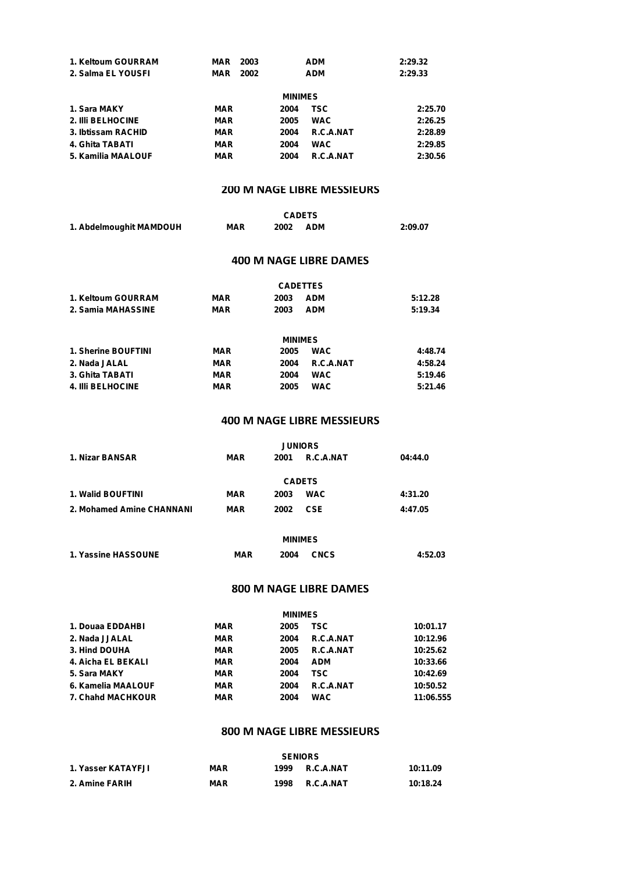| 1. Keltoum GOURRAM | MAR        | 2003 | <b>ADM</b> | 2:29.32 |  |  |  |
|--------------------|------------|------|------------|---------|--|--|--|
| 2. Salma EL YOUSFI | <b>MAR</b> | 2002 | <b>ADM</b> | 2:29.33 |  |  |  |
| <b>MINIMES</b>     |            |      |            |         |  |  |  |
| 1. Sara MAKY       | <b>MAR</b> | 2004 | TSC        | 2:25.70 |  |  |  |
| 2. IIII BELHOCINE  | <b>MAR</b> | 2005 | <b>WAC</b> | 2:26.25 |  |  |  |
| 3. Ibtissam RACHID | <b>MAR</b> | 2004 | R.C.A.NAT  | 2:28.89 |  |  |  |
| 4. Ghita TABATI    | <b>MAR</b> | 2004 | <b>WAC</b> | 2:29.85 |  |  |  |
| 5. Kamilia MAALOUF | <b>MAR</b> | 2004 | R.C.A.NAT  | 2:30.56 |  |  |  |

#### **200 M NAGE LIBRE MESSIEURS**

|                         |            | <b>CADETS</b> |            |         |
|-------------------------|------------|---------------|------------|---------|
| 1. Abdelmoughit MAMDOUH | <b>MAR</b> | 2002          | <b>ADM</b> | 2:09.07 |

#### **400 M NAGE LIBRE DAMES**

|                          |            |      | <b>CADETTES</b> |         |  |  |  |
|--------------------------|------------|------|-----------------|---------|--|--|--|
| 1. Keltoum GOURRAM       | MAR        | 2003 | <b>ADM</b>      | 5:12.28 |  |  |  |
| 2. Samia MAHASSINE       | <b>MAR</b> | 2003 | <b>ADM</b>      | 5:19.34 |  |  |  |
| <b>MINIMES</b>           |            |      |                 |         |  |  |  |
| 1. Sherine BOUFTINI      | <b>MAR</b> | 2005 | <b>WAC</b>      | 4:48.74 |  |  |  |
| 2. Nada JALAL            | <b>MAR</b> | 2004 | R.C.A.NAT       | 4:58.24 |  |  |  |
| 3. Ghita TABATI          | <b>MAR</b> | 2004 | <b>WAC</b>      | 5:19.46 |  |  |  |
| <b>4. IIII BELHOCINE</b> | <b>MAR</b> | 2005 | <b>WAC</b>      | 5:21.46 |  |  |  |

#### **400 M NAGE LIBRE MESSIEURS**

|                           |            | <b>JUNIORS</b> |            |         |
|---------------------------|------------|----------------|------------|---------|
| 1. Nizar BANSAR           | <b>MAR</b> | 2001           | R.C.A.NAT  | 04:44.0 |
|                           |            |                |            |         |
|                           |            | <b>CADETS</b>  |            |         |
| <b>1. Walid BOUFTINI</b>  | <b>MAR</b> | 2003           | <b>WAC</b> | 4:31.20 |
| 2. Mohamed Amine CHANNANI | MAR        | 2002           | <b>CSE</b> | 4:47.05 |
|                           |            |                |            |         |

| <b>MINIMES</b>      |            |      |             |         |  |
|---------------------|------------|------|-------------|---------|--|
| 1. Yassine HASSOUNE | <b>MAR</b> | 2004 | <b>CNCS</b> | 4:52.03 |  |

#### **800 M NAGE LIBRE DAMES**

| <b>MINIMES</b>           |            |      |            |           |  |  |  |
|--------------------------|------------|------|------------|-----------|--|--|--|
| 1. Douaa EDDAHBI         | MAR        | 2005 | <b>TSC</b> | 10:01.17  |  |  |  |
| 2. Nada JJALAL           | <b>MAR</b> | 2004 | R.C.A.NAT  | 10:12.96  |  |  |  |
| 3. Hind DOUHA            | <b>MAR</b> | 2005 | R.C.A.NAT  | 10:25.62  |  |  |  |
| 4. Aicha EL BEKALI       | <b>MAR</b> | 2004 | <b>ADM</b> | 10:33.66  |  |  |  |
| 5. Sara MAKY             | <b>MAR</b> | 2004 | <b>TSC</b> | 10:42.69  |  |  |  |
| 6. Kamelia MAALOUF       | <b>MAR</b> | 2004 | R.C.A.NAT  | 10:50.52  |  |  |  |
| <b>7. Chahd MACHKOUR</b> | <b>MAR</b> | 2004 | <b>WAC</b> | 11:06.555 |  |  |  |

### **800 M NAGE LIBRE MESSIEURS**

|                    | <b>SENIORS</b> |      |                  |          |  |
|--------------------|----------------|------|------------------|----------|--|
| 1. Yasser KATAYFJI | MAR            | 1999 | R.C.A.NAT        | 10:11.09 |  |
| 2. Amine FARIH     | MAR            | 1998 | <b>R.C.A.NAT</b> | 10:18.24 |  |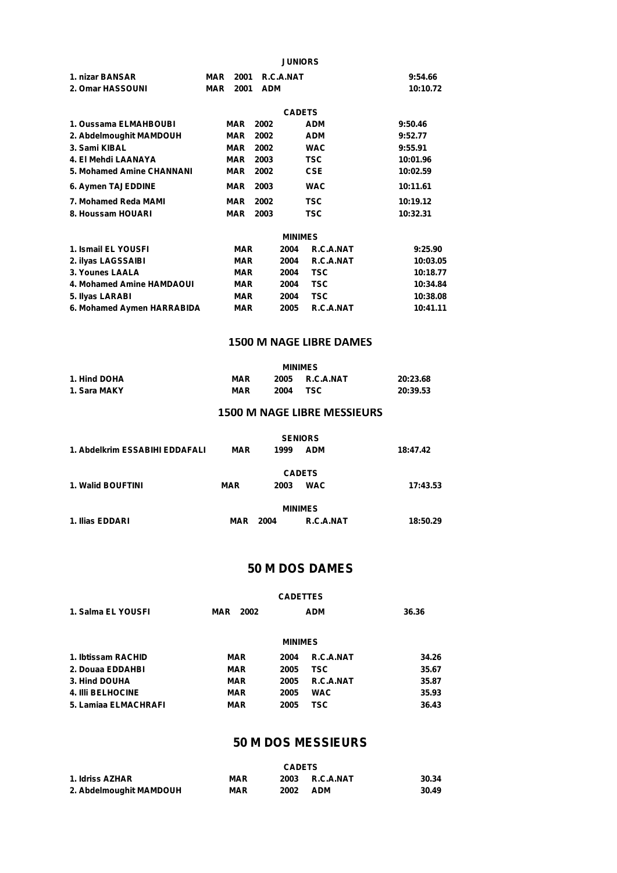|                           |                           | <b>JUNIORS</b>    |          |
|---------------------------|---------------------------|-------------------|----------|
| 1. nizar BANSAR           | MAR<br>2001               | R.C.A.NAT         | 9:54.66  |
| 2. Omar HASSOUNI          | 2001<br><b>ADM</b><br>MAR |                   | 10:10.72 |
|                           |                           | <b>CADETS</b>     |          |
| 1. Oussama ELMAHBOUBI     | <b>MAR</b><br>2002        | ADM               | 9:50.46  |
| 2. Abdelmoughit MAMDOUH   | MAR<br>2002               | <b>ADM</b>        | 9:52.77  |
| 3. Sami KIBAL             | <b>MAR</b><br>2002        | <b>WAC</b>        | 9:55.91  |
| 4. El Mehdi LAANAYA       | <b>MAR</b><br>2003        | TSC.              | 10:01.96 |
| 5. Mohamed Amine CHANNANI | MAR<br>2002               | <b>CSE</b>        | 10:02.59 |
| 6. Aymen TAJEDDINE        | 2003<br>MAR               | <b>WAC</b>        | 10:11.61 |
| 7. Mohamed Reda MAMI      | <b>MAR</b><br>2002        | <b>TSC</b>        | 10:19.12 |
| 8. Houssam HOUARI         | MAR<br>2003               | TSC               | 10:32.31 |
|                           |                           | <b>MINIMES</b>    |          |
| 1. Ismail EL YOUSFI       | <b>MAR</b>                | R.C.A.NAT<br>2004 | 9:25.90  |
| 2. ilvas LAGSSAIBI        | <b>MAR</b>                | 2004<br>R.C.A.NAT | 10:03.05 |

| 2. ilyas LAGSSAIBI         | MAR |      | 2004 R.C.A.NAT | 10:03.05 |  |
|----------------------------|-----|------|----------------|----------|--|
| 3. Younes LAALA            | MAR | 2004 | TSC            | 10:18.77 |  |
| 4. Mohamed Amine HAMDAOUI  | MAR | 2004 | TSC            | 10:34.84 |  |
| 5. Ilyas LARABI            | MAR | 2004 | TSC            | 10:38.08 |  |
| 6. Mohamed Aymen HARRABIDA | MAR | 2005 | R.C.A.NAT      | 10:41.11 |  |
|                            |     |      |                |          |  |

#### **1500 M NAGE LIBRE DAMES**

|              | <b>MINIMES</b> |      |                  |          |
|--------------|----------------|------|------------------|----------|
| 1. Hind DOHA | <b>MAR</b>     | 2005 | <b>R.C.A.NAT</b> | 20:23.68 |
| 1. Sara MAKY | <b>MAR</b>     | 2004 | TSC              | 20:39.53 |

#### **1500 M NAGE LIBRE MESSIEURS**

| 1. Abdelkrim ESSABIHI EDDAFALI | <b>MAR</b> | <b>SENIORS</b><br>1999 | <b>ADM</b> | 18:47.42 |
|--------------------------------|------------|------------------------|------------|----------|
| 1. Walid BOUFTINI              | <b>MAR</b> | <b>CADETS</b><br>2003  | <b>WAC</b> | 17:43.53 |
| 1. Ilias EDDARI                | MAR        | <b>MINIMES</b><br>2004 | R.C.A.NAT  | 18:50.29 |

### **50 M DOS DAMES**

|                          |             | <b>CADETTES</b> |            |       |  |
|--------------------------|-------------|-----------------|------------|-------|--|
| 1. Salma EL YOUSFI       | 2002<br>MAR |                 | <b>ADM</b> | 36.36 |  |
|                          |             |                 |            |       |  |
|                          |             | <b>MINIMES</b>  |            |       |  |
| 1. Ibtissam RACHID       | <b>MAR</b>  | 2004            | R.C.A.NAT  | 34.26 |  |
| 2. Douaa EDDAHBI         | <b>MAR</b>  | 2005            | <b>TSC</b> | 35.67 |  |
| 3. Hind DOUHA            | <b>MAR</b>  | 2005            | R.C.A.NAT  | 35.87 |  |
| <b>4. IIII BELHOCINE</b> | <b>MAR</b>  | 2005            | <b>WAC</b> | 35.93 |  |
| 5. Lamiaa ELMACHRAFI     | <b>MAR</b>  | 2005            | <b>TSC</b> | 36.43 |  |
|                          |             |                 |            |       |  |

## **50 M DOS MESSIEURS**

|                         | <b>CADETS</b> |      |            |       |  |
|-------------------------|---------------|------|------------|-------|--|
| 1. Idriss AZHAR         | <b>MAR</b>    | 2003 | R.C.A.NAT  | 30.34 |  |
| 2. Abdelmoughit MAMDOUH | <b>MAR</b>    | 2002 | <b>ADM</b> | 30.49 |  |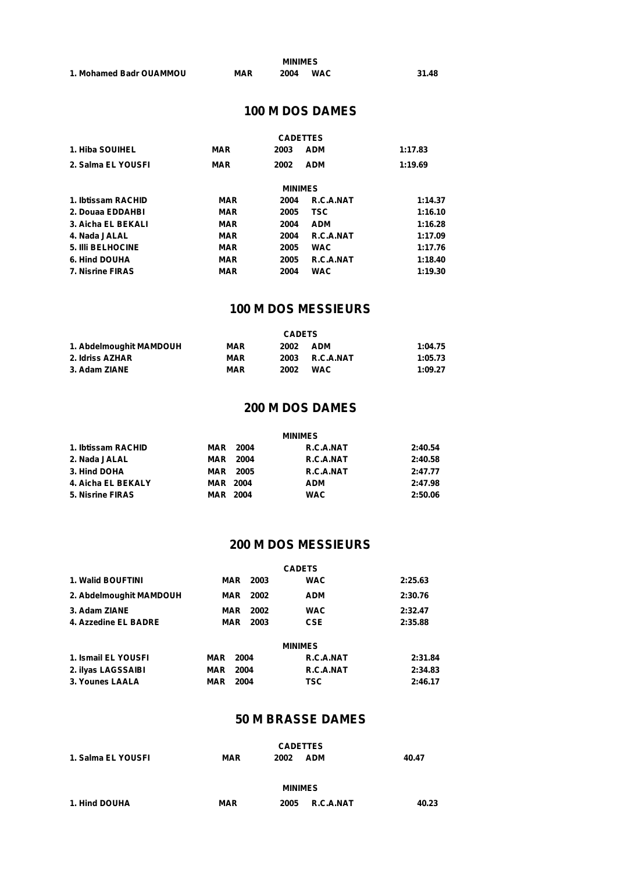|                         |            | <b>MINIMES</b> |            |       |
|-------------------------|------------|----------------|------------|-------|
| 1. Mohamed Badr OUAMMOU | <b>MAR</b> | 2004           | <b>WAC</b> | 31.48 |

# **100 M DOS DAMES**

|                         |            | <b>CADETTES</b> |            |         |
|-------------------------|------------|-----------------|------------|---------|
| 1. Hiba SOUIHEL         | <b>MAR</b> | 2003            | <b>ADM</b> | 1:17.83 |
| 2. Salma EL YOUSFI      | <b>MAR</b> | 2002            | <b>ADM</b> | 1:19.69 |
|                         |            | <b>MINIMES</b>  |            |         |
| 1. Ibtissam RACHID      | <b>MAR</b> | 2004            | R.C.A.NAT  | 1:14.37 |
| 2. Douaa EDDAHBI        | <b>MAR</b> | 2005            | <b>TSC</b> | 1:16.10 |
| 3. Aicha EL BEKALI      | <b>MAR</b> | 2004            | <b>ADM</b> | 1:16.28 |
| 4. Nada JALAL           | <b>MAR</b> | 2004            | R.C.A.NAT  | 1:17.09 |
| 5. IIII BELHOCINE       | <b>MAR</b> | 2005            | <b>WAC</b> | 1:17.76 |
| 6. Hind DOUHA           | <b>MAR</b> | 2005            | R.C.A.NAT  | 1:18.40 |
| <b>7. Nisrine FIRAS</b> | <b>MAR</b> | 2004            | <b>WAC</b> | 1:19.30 |

## **100 M DOS MESSIEURS**

|                         | <b>CADETS</b> |      |            |         |  |
|-------------------------|---------------|------|------------|---------|--|
| 1. Abdelmoughit MAMDOUH | <b>MAR</b>    | 2002 | <b>ADM</b> | 1:04.75 |  |
| 2. Idriss AZHAR         | <b>MAR</b>    | 2003 | R.C.A.NAT  | 1:05.73 |  |
| 3. Adam ZIANE           | <b>MAR</b>    | 2002 | WAC        | 1:09.27 |  |

## **200 M DOS DAMES**

|                    |                 | <b>MINIMES</b> |         |  |  |  |
|--------------------|-----------------|----------------|---------|--|--|--|
| 1. Ibtissam RACHID | <b>MAR</b> 2004 | R.C.A.NAT      | 2:40.54 |  |  |  |
| 2. Nada JALAL      | 2004<br>MAR     | R.C.A.NAT      | 2:40.58 |  |  |  |
| 3. Hind DOHA       | <b>MAR</b> 2005 | R.C.A.NAT      | 2:47.77 |  |  |  |
| 4. Aicha EL BEKALY | <b>MAR 2004</b> | <b>ADM</b>     | 2:47.98 |  |  |  |
| 5. Nisrine FIRAS   | <b>MAR 2004</b> | <b>WAC</b>     | 2:50.06 |  |  |  |

## **200 M DOS MESSIEURS**

| <b>CADETS</b> |  |                                                      |  |
|---------------|--|------------------------------------------------------|--|
| 2003          |  | 2:25.63                                              |  |
| 2002          |  | 2:30.76                                              |  |
| 2002          |  | 2:32.47                                              |  |
| 2003          |  | 2:35.88                                              |  |
|               |  | <b>WAC</b><br><b>ADM</b><br><b>WAC</b><br><b>CSE</b> |  |

|                        | <b>MINIMES</b>  |      |           |         |  |
|------------------------|-----------------|------|-----------|---------|--|
| 1. Ismail EL YOUSFI    | <b>MAR</b> 2004 |      | R.C.A.NAT | 2:31.84 |  |
| 2. ilyas LAGSSAIBI     | <b>MAR</b> 2004 |      | R.C.A.NAT | 2:34.83 |  |
| <b>3. Younes LAALA</b> | MAR             | 2004 | TSC       | 2:46.17 |  |

#### **50 M BRASSE DAMES**

|                    |            | <b>CADETTES</b>    |       |
|--------------------|------------|--------------------|-------|
| 1. Salma EL YOUSFI | <b>MAR</b> | <b>ADM</b><br>2002 | 40.47 |
|                    |            |                    |       |
|                    |            | <b>MINIMES</b>     |       |
| 1. Hind DOUHA      | <b>MAR</b> | R.C.A.NAT<br>2005  | 40.23 |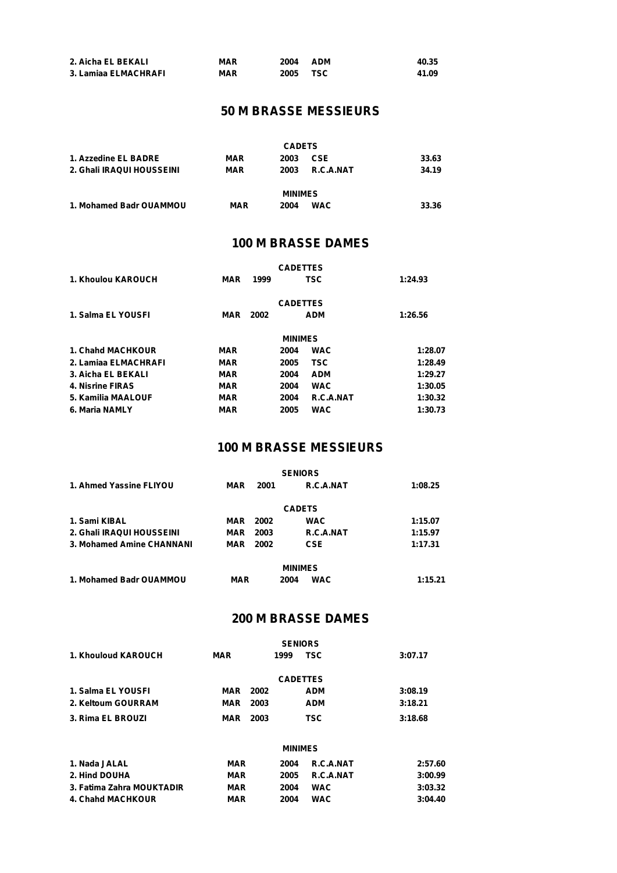| 2. Aicha EL BEKALI   | <b>MAR</b> | 2004 | <b>ADM</b> | 40.35 |
|----------------------|------------|------|------------|-------|
| 3. Lamiaa ELMACHRAFI | MAR        | 2005 | TSC        | 41.09 |

# **50 M BRASSE MESSIEURS**

|                           |            | <b>CADETS</b>      |       |
|---------------------------|------------|--------------------|-------|
| 1. Azzedine EL BADRE      | <b>MAR</b> | <b>CSE</b><br>2003 | 33.63 |
| 2. Ghali IRAQUI HOUSSEINI | <b>MAR</b> | R.C.A.NAT<br>2003  | 34.19 |
|                           |            | <b>MINIMES</b>     |       |
| 1. Mohamed Badr OUAMMOU   | <b>MAR</b> | <b>WAC</b><br>2004 | 33.36 |

#### **100 M BRASSE DAMES**

| 1. Khoulou KAROUCH   | MAR        | 1999 | <b>CADETTES</b> | <b>TSC</b> | 1:24.93 |
|----------------------|------------|------|-----------------|------------|---------|
| 1. Salma EL YOUSFI   | MAR        | 2002 | <b>CADETTES</b> | <b>ADM</b> | 1:26.56 |
|                      |            |      |                 |            |         |
|                      |            |      | <b>MINIMES</b>  |            |         |
| 1. Chahd MACHKOUR    | <b>MAR</b> |      | 2004            | <b>WAC</b> | 1:28.07 |
| 2. Lamiaa ELMACHRAFI | <b>MAR</b> |      | 2005            | <b>TSC</b> | 1:28.49 |
| 3. Aicha EL BEKALI   | <b>MAR</b> |      | 2004            | <b>ADM</b> | 1:29.27 |
| 4. Nisrine FIRAS     | <b>MAR</b> |      | 2004            | <b>WAC</b> | 1:30.05 |
| 5. Kamilia MAALOUF   | <b>MAR</b> |      | 2004            | R.C.A.NAT  | 1:30.32 |
| 6. Maria NAMLY       | <b>MAR</b> |      | 2005            | <b>WAC</b> | 1:30.73 |

## **100 M BRASSE MESSIEURS**

|                           |            |                 | <b>SENIORS</b>     |         |
|---------------------------|------------|-----------------|--------------------|---------|
| 1. Ahmed Yassine FLIYOU   | MAR        | 2001            | R.C.A.NAT          | 1:08.25 |
|                           |            |                 | <b>CADETS</b>      |         |
| 1. Sami KIBAL             |            | <b>MAR</b> 2002 | <b>WAC</b>         | 1:15.07 |
| 2. Ghali IRAQUI HOUSSEINI | MAR        | 2003            | R.C.A.NAT          | 1:15.97 |
| 3. Mohamed Amine CHANNANI | MAR        | 2002            | <b>CSE</b>         | 1:17.31 |
|                           |            |                 | <b>MINIMES</b>     |         |
| 1. Mohamed Badr OUAMMOU   | <b>MAR</b> |                 | <b>WAC</b><br>2004 | 1:15.21 |

## **200 M BRASSE DAMES**

|                     |     |      | <b>SENIORS</b>  |         |
|---------------------|-----|------|-----------------|---------|
| 1. Khouloud KAROUCH | MAR | 1999 | <b>TSC</b>      | 3:07.17 |
|                     |     |      |                 |         |
|                     |     |      | <b>CADETTES</b> |         |
| 1. Salma EL YOUSFI  | MAR | 2002 | <b>ADM</b>      | 3:08.19 |
| 2. Keltoum GOURRAM  | MAR | 2003 | <b>ADM</b>      | 3:18.21 |
| 3. Rima EL BROUZI   | MAR | 2003 | TSC             | 3:18.68 |

|                           |            | <b>MINIMES</b> |                  |         |
|---------------------------|------------|----------------|------------------|---------|
| 1. Nada JALAL             | <b>MAR</b> | 2004           | R.C.A.NAT        | 2:57.60 |
| 2. Hind DOUHA             | <b>MAR</b> | 2005           | <b>R.C.A.NAT</b> | 3:00.99 |
| 3. Fatima Zahra MOUKTADIR | <b>MAR</b> | 2004           | <b>WAC</b>       | 3:03.32 |
| 4. Chahd MACHKOUR         | <b>MAR</b> | 2004           | WAC              | 3:04.40 |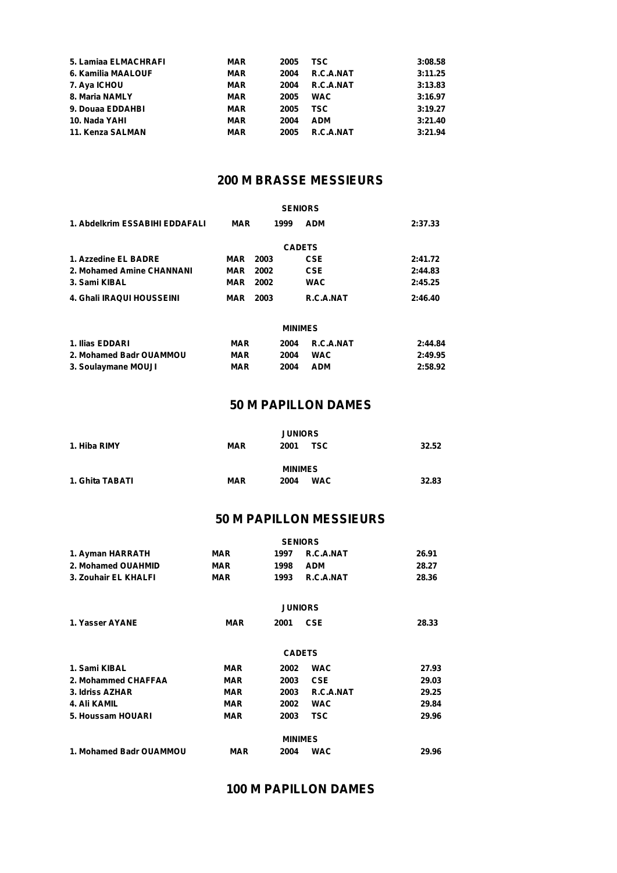| 5. Lamiaa ELMACHRAFI | <b>MAR</b> | 2005 | TSC.       | 3:08.58 |
|----------------------|------------|------|------------|---------|
| 6. Kamilia MAALOUF   | <b>MAR</b> | 2004 | R.C.A.NAT  | 3:11.25 |
| 7. Aya ICHOU         | <b>MAR</b> | 2004 | R.C.A.NAT  | 3:13.83 |
| 8. Maria NAMLY       | MAR        | 2005 | <b>WAC</b> | 3:16.97 |
| 9. Douaa EDDAHBI     | MAR        | 2005 | TSC.       | 3:19.27 |
| 10. Nada YAHI        | <b>MAR</b> | 2004 | <b>ADM</b> | 3:21.40 |
| 11. Kenza SALMAN     | MAR        | 2005 | R.C.A.NAT  | 3:21.94 |

# **200 M BRASSE MESSIEURS**

|                                |            |      | <b>SENIORS</b> |         |
|--------------------------------|------------|------|----------------|---------|
| 1. Abdelkrim ESSABIHI EDDAFALI | <b>MAR</b> | 1999 | <b>ADM</b>     | 2:37.33 |
|                                |            |      | <b>CADETS</b>  |         |
| 1. Azzedine EL BADRE           | MAR        | 2003 | <b>CSE</b>     | 2:41.72 |
| 2. Mohamed Amine CHANNANI      | MAR        | 2002 | <b>CSE</b>     | 2:44.83 |
| 3. Sami KIBAL                  | MAR        | 2002 | <b>WAC</b>     | 2:45.25 |
| 4. Ghali IRAQUI HOUSSEINI      | MAR        | 2003 | R.C.A.NAT      | 2:46.40 |
|                                |            |      |                |         |

|                         | <b>MINIMES</b> |      |            |         |
|-------------------------|----------------|------|------------|---------|
| 1. Ilias EDDARI         | <b>MAR</b>     | 2004 | R.C.A.NAT  | 2:44.84 |
| 2. Mohamed Badr OUAMMOU | <b>MAR</b>     | 2004 | <b>WAC</b> | 2:49.95 |
| 3. Soulaymane MOUJI     | <b>MAR</b>     | 2004 | <b>ADM</b> | 2:58.92 |

## **50 M PAPILLON DAMES**

|                 |            | <b>JUNIORS</b>     |       |  |
|-----------------|------------|--------------------|-------|--|
| 1. Hiba RIMY    | <b>MAR</b> | <b>TSC</b><br>2001 | 32.52 |  |
|                 |            | <b>MINIMES</b>     |       |  |
| 1. Ghita TABATI | <b>MAR</b> | <b>WAC</b><br>2004 | 32.83 |  |

# **50 M PAPILLON MESSIEURS**

|                         |            | <b>SENIORS</b> |                |       |
|-------------------------|------------|----------------|----------------|-------|
| 1. Ayman HARRATH        | <b>MAR</b> | 1997           | R.C.A.NAT      | 26.91 |
| 2. Mohamed OUAHMID      | <b>MAR</b> | 1998           | <b>ADM</b>     | 28.27 |
| 3. Zouhair EL KHALFI    | <b>MAR</b> | 1993           | R.C.A.NAT      | 28.36 |
|                         |            |                | <b>JUNIORS</b> |       |
| 1. Yasser AYANE         | <b>MAR</b> | 2001           | <b>CSE</b>     | 28.33 |
|                         |            |                | <b>CADETS</b>  |       |
| 1. Sami KIBAL           | <b>MAR</b> | 2002           | <b>WAC</b>     | 27.93 |
| 2. Mohammed CHAFFAA     | <b>MAR</b> | 2003           | <b>CSE</b>     | 29.03 |
| 3. Idriss AZHAR         | <b>MAR</b> | 2003           | R.C.A.NAT      | 29.25 |
| 4. Ali KAMIL            | <b>MAR</b> | 2002           | <b>WAC</b>     | 29.84 |
| 5. Houssam HOUARI       | <b>MAR</b> | 2003           | <b>TSC</b>     | 29.96 |
|                         |            | <b>MINIMES</b> |                |       |
| 1. Mohamed Badr OUAMMOU | MAR        | 2004           | <b>WAC</b>     | 29.96 |

# **100 M PAPILLON DAMES**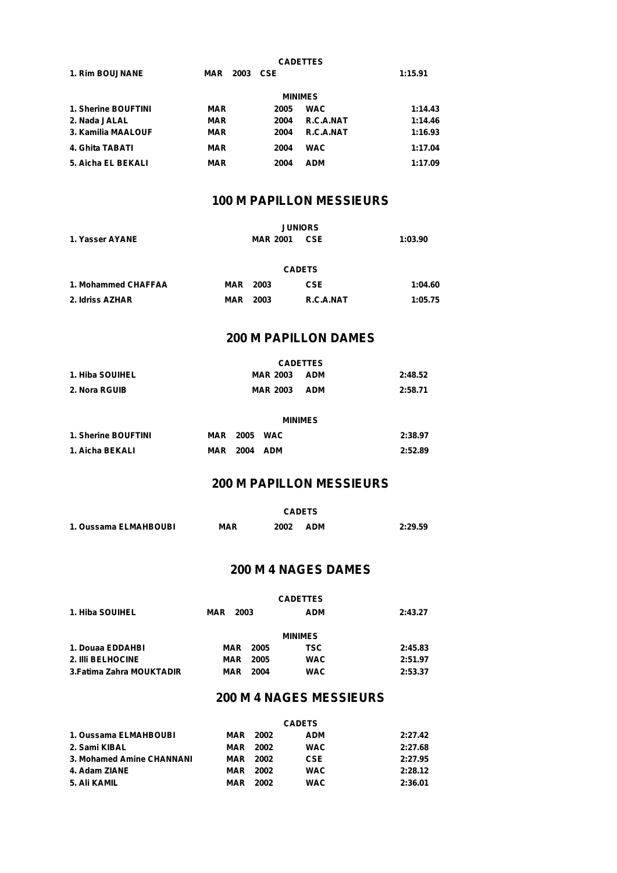|                        |                    | <b>CADETTES</b>    |         |
|------------------------|--------------------|--------------------|---------|
| <b>1. Rim BOUJNANE</b> | CSE<br>2003<br>MAR |                    | 1:15.91 |
|                        |                    | <b>MINIMES</b>     |         |
| 1. Sherine BOUFTINI    | MAR                | <b>WAC</b><br>2005 | 1:14.43 |
| 2. Nada JALAL          | <b>MAR</b>         | R.C.A.NAT<br>2004  | 1:14.46 |
| 3. Kamilia MAALOUF     | <b>MAR</b>         | R.C.A.NAT<br>2004  | 1:16.93 |
| 4. Ghita TABATI        | <b>MAR</b>         | <b>WAC</b><br>2004 | 1:17.04 |
| 5. Aicha EL BEKALI     | <b>MAR</b>         | <b>ADM</b><br>2004 | 1:17.09 |

# **100 M PAPILLON MESSIEURS**

|                     |                 | <b>JUNIORS</b>  |               |         |
|---------------------|-----------------|-----------------|---------------|---------|
| 1. Yasser AYANE     |                 | <b>MAR 2001</b> | 1:03.90       |         |
|                     |                 |                 | <b>CADETS</b> |         |
| 1. Mohammed CHAFFAA | <b>MAR</b> 2003 |                 | <b>CSE</b>    | 1:04.60 |
| 2. Idriss AZHAR     | MAR             | 2003            | R.C.A.NAT     | 1:05.75 |

# **200 M PAPILLON DAMES**

| <b>CADETTES</b>     |                |                 |                 |            |         |  |  |  |
|---------------------|----------------|-----------------|-----------------|------------|---------|--|--|--|
| 1. Hiba SOUIHEL     |                |                 | <b>MAR 2003</b> | <b>ADM</b> | 2:48.52 |  |  |  |
| 2. Nora RGUIB       |                |                 | <b>MAR 2003</b> | <b>ADM</b> | 2:58.71 |  |  |  |
|                     |                |                 |                 |            |         |  |  |  |
|                     | <b>MINIMES</b> |                 |                 |            |         |  |  |  |
| 1. Sherine BOUFTINI |                | <b>MAR</b> 2005 | <b>WAC</b>      |            | 2:38.97 |  |  |  |
| 1. Aicha BEKALI     | MAR            | 2004            | <b>ADM</b>      |            | 2:52.89 |  |  |  |

### **200 M PAPILLON MESSIEURS**

|                       | <b>CADETS</b> |                    |         |  |  |  |  |
|-----------------------|---------------|--------------------|---------|--|--|--|--|
| 1. Oussama ELMAHBOUBI | MAR           | 2002<br><b>ADM</b> | 2:29.59 |  |  |  |  |

## **200 M 4 NAGES DAMES**

| 1. Hiba SOUIHEL           | 2003<br>MAR |      | <b>ADM</b>     | 2:43.27 |  |
|---------------------------|-------------|------|----------------|---------|--|
|                           |             |      | <b>MINIMES</b> |         |  |
| 1. Douaa EDDAHBI          | MAR         | 2005 | TSC            | 2:45.83 |  |
| 2. IIII BELHOCINE         | MAR         | 2005 | <b>WAC</b>     | 2:51.97 |  |
| 3. Fatima Zahra MOUKTADIR | MAR         | 2004 | <b>WAC</b>     | 2:53.37 |  |

### **200 M 4 NAGES MESSIEURS**

|                           | <b>CADETS</b>   |      |            |         |  |  |  |
|---------------------------|-----------------|------|------------|---------|--|--|--|
| 1. Oussama ELMAHBOUBI     | <b>MAR</b> 2002 |      | <b>ADM</b> | 2:27.42 |  |  |  |
| 2. Sami KIBAL             | MAR             | 2002 | <b>WAC</b> | 2:27.68 |  |  |  |
| 3. Mohamed Amine CHANNANI | MAR             | 2002 | <b>CSE</b> | 2:27.95 |  |  |  |
| 4. Adam ZIANE             | MAR             | 2002 | <b>WAC</b> | 2:28.12 |  |  |  |
| 5. Ali KAMIL              | MAR             | 2002 | <b>WAC</b> | 2:36.01 |  |  |  |